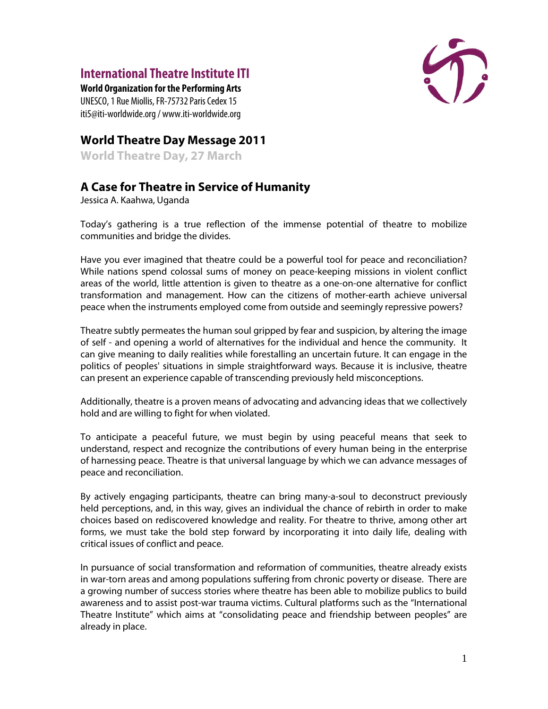## **International Theatre Institute ITI**

**World Organization for the Performing Arts** UNESCO, 1 Rue Miollis, FR-75732 Paris Cedex 15 iti5@iti-worldwide.org / www.iti-worldwide.org



## **World Theatre Day Message 2011**

**World Theatre Day, 27 March**

## **A Case for Theatre in Service of Humanity**

Jessica A. Kaahwa, Uganda

Today's gathering is a true reflection of the immense potential of theatre to mobilize communities and bridge the divides.

Have you ever imagined that theatre could be a powerful tool for peace and reconciliation? While nations spend colossal sums of money on peace-keeping missions in violent conflict areas of the world, little attention is given to theatre as a one-on-one alternative for conflict transformation and management. How can the citizens of mother-earth achieve universal peace when the instruments employed come from outside and seemingly repressive powers?

Theatre subtly permeates the human soul gripped by fear and suspicion, by altering the image of self - and opening a world of alternatives for the individual and hence the community. It can give meaning to daily realities while forestalling an uncertain future. It can engage in the politics of peoples' situations in simple straightforward ways. Because it is inclusive, theatre can present an experience capable of transcending previously held misconceptions.

Additionally, theatre is a proven means of advocating and advancing ideas that we collectively hold and are willing to fight for when violated.

To anticipate a peaceful future, we must begin by using peaceful means that seek to understand, respect and recognize the contributions of every human being in the enterprise of harnessing peace. Theatre is that universal language by which we can advance messages of peace and reconciliation.

By actively engaging participants, theatre can bring many-a-soul to deconstruct previously held perceptions, and, in this way, gives an individual the chance of rebirth in order to make choices based on rediscovered knowledge and reality. For theatre to thrive, among other art forms, we must take the bold step forward by incorporating it into daily life, dealing with critical issues of conflict and peace.

In pursuance of social transformation and reformation of communities, theatre already exists in war-torn areas and among populations suffering from chronic poverty or disease. There are a growing number of success stories where theatre has been able to mobilize publics to build awareness and to assist post-war trauma victims. Cultural platforms such as the "International Theatre Institute" which aims at "consolidating peace and friendship between peoples" are already in place.